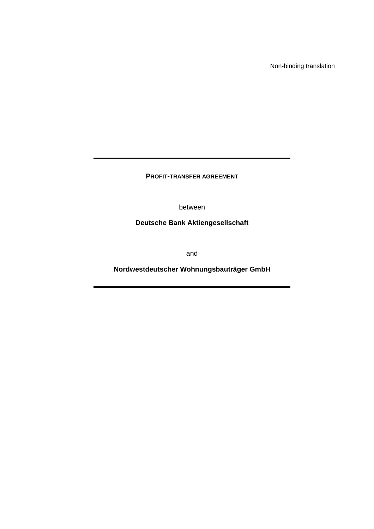Non-binding translation

**PROFIT-TRANSFER AGREEMENT** 

between

**Deutsche Bank Aktiengesellschaft** 

and

**Nordwestdeutscher Wohnungsbauträger GmbH**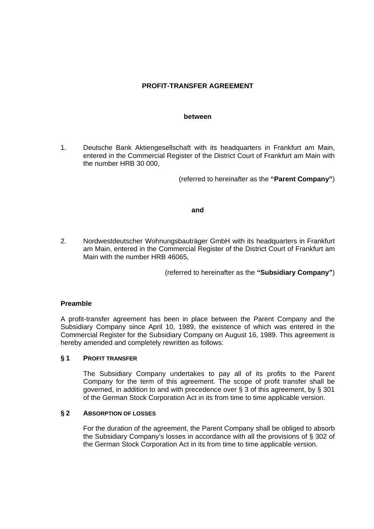# **PROFIT-TRANSFER AGREEMENT**

#### **between**

1. Deutsche Bank Aktiengesellschaft with its headquarters in Frankfurt am Main, entered in the Commercial Register of the District Court of Frankfurt am Main with the number HRB 30 000,

(referred to hereinafter as the **"Parent Company"**)

### **and**

2. Nordwestdeutscher Wohnungsbauträger GmbH with its headquarters in Frankfurt am Main, entered in the Commercial Register of the District Court of Frankfurt am Main with the number HRB 46065,

(referred to hereinafter as the **"Subsidiary Company"**)

### **Preamble**

A profit-transfer agreement has been in place between the Parent Company and the Subsidiary Company since April 10, 1989, the existence of which was entered in the Commercial Register for the Subsidiary Company on August 16, 1989. This agreement is hereby amended and completely rewritten as follows:

### **§ 1 PROFIT TRANSFER**

 The Subsidiary Company undertakes to pay all of its profits to the Parent Company for the term of this agreement. The scope of profit transfer shall be governed, in addition to and with precedence over § 3 of this agreement, by § 301 of the German Stock Corporation Act in its from time to time applicable version.

### **§ 2 ABSORPTION OF LOSSES**

 For the duration of the agreement, the Parent Company shall be obliged to absorb the Subsidiary Company's losses in accordance with all the provisions of § 302 of the German Stock Corporation Act in its from time to time applicable version.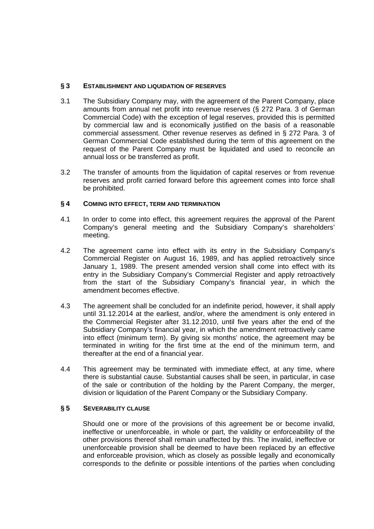## **§ 3 ESTABLISHMENT AND LIQUIDATION OF RESERVES**

- 3.1 The Subsidiary Company may, with the agreement of the Parent Company, place amounts from annual net profit into revenue reserves (§ 272 Para. 3 of German Commercial Code) with the exception of legal reserves, provided this is permitted by commercial law and is economically justified on the basis of a reasonable commercial assessment. Other revenue reserves as defined in § 272 Para. 3 of German Commercial Code established during the term of this agreement on the request of the Parent Company must be liquidated and used to reconcile an annual loss or be transferred as profit.
- 3.2 The transfer of amounts from the liquidation of capital reserves or from revenue reserves and profit carried forward before this agreement comes into force shall be prohibited.

## **§ 4 COMING INTO EFFECT, TERM AND TERMINATION**

- 4.1 In order to come into effect, this agreement requires the approval of the Parent Company's general meeting and the Subsidiary Company's shareholders' meeting.
- 4.2 The agreement came into effect with its entry in the Subsidiary Company's Commercial Register on August 16, 1989, and has applied retroactively since January 1, 1989. The present amended version shall come into effect with its entry in the Subsidiary Company's Commercial Register and apply retroactively from the start of the Subsidiary Company's financial year, in which the amendment becomes effective.
- 4.3 The agreement shall be concluded for an indefinite period, however, it shall apply until 31.12.2014 at the earliest, and/or, where the amendment is only entered in the Commercial Register after 31.12.2010, until five years after the end of the Subsidiary Company's financial year, in which the amendment retroactively came into effect (minimum term). By giving six months' notice, the agreement may be terminated in writing for the first time at the end of the minimum term, and thereafter at the end of a financial year.
- 4.4 This agreement may be terminated with immediate effect, at any time, where there is substantial cause. Substantial causes shall be seen, in particular, in case of the sale or contribution of the holding by the Parent Company, the merger, division or liquidation of the Parent Company or the Subsidiary Company.

## **§ 5 SEVERABILITY CLAUSE**

Should one or more of the provisions of this agreement be or become invalid, ineffective or unenforceable, in whole or part, the validity or enforceability of the other provisions thereof shall remain unaffected by this. The invalid, ineffective or unenforceable provision shall be deemed to have been replaced by an effective and enforceable provision, which as closely as possible legally and economically corresponds to the definite or possible intentions of the parties when concluding